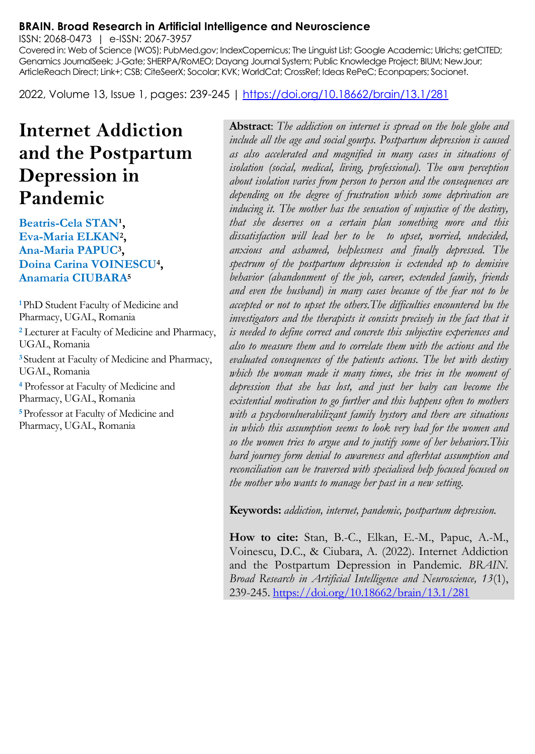#### **BRAIN. Broad Research in Artificial Intelligence and Neuroscience**

ISSN: 2068-0473 | e-ISSN: 2067-3957

Covered in: Web of Science (WOS); PubMed.gov; IndexCopernicus; The Linguist List; Google Academic; Ulrichs; getCITED; Genamics JournalSeek; J-Gate; SHERPA/RoMEO; Dayang Journal System; Public Knowledge Project; BIUM; NewJour; ArticleReach Direct; Link+; CSB; CiteSeerX; Socolar; KVK; WorldCat; CrossRef; Ideas RePeC; Econpapers; Socionet.

2022, Volume 13, Issue 1, pages: 239-245 |<https://doi.org/10.18662/brain/13.1/281>

# **Internet Addiction and the Postpartum Depression in Pandemic**

Beatris-Cela STAN<sup>1</sup>, **Eva-Maria ELKAN<sup>2</sup> , Ana-Maria PAPUC<sup>3</sup> , Doina Carina VOINESCU<sup>4</sup> , Anamaria CIUBARA<sup>5</sup>**

**<sup>1</sup>**PhD Student Faculty of Medicine and Pharmacy, UGAL, Romania **<sup>2</sup>** Lecturer at Faculty of Medicine and Pharmacy, UGAL, Romania **<sup>3</sup>**Student at Faculty of Medicine and Pharmacy, UGAL, Romania **<sup>4</sup>** Professor at Faculty of Medicine and Pharmacy, UGAL, Romania **<sup>5</sup>**Professor at Faculty of Medicine and Pharmacy, UGAL, Romania

**Abstract**: *The addiction on internet is spread on the hole globe and include all the age and social gourps. Postpartum depression is caused as also accelerated and magnified in many cases in situations of isolation (social, medical, living, professional). The own perception about isolation varies from person to person and the consequences are depending on the degree of frustration which some deprivation are inducing it. The mother has the sensation of unjustice of the destiny, that she deserves on a certain plan something more and this dissatisfaction will lead her to be to upset, worried, undecided, anxious and ashamed, helplessness and finally depressed. The spectrum of the postpartum depression is extended up to demisive behavior (abandonment of the job, career, extended family, friends and even the husband) in many cases because of the fear not to be accepted or not to upset the others.The difficulties encountered bu the investigators and the therapists it consists precisely in the fact that it is needed to define correct and concrete this subjective experiences and also to measure them and to correlate them with the actions and the evaluated consequences of the patients actions. The bet with destiny which the woman made it many times, she tries in the moment of depression that she has lost, and just her baby can become the existential motivation to go further and this happens often to mothers with a psychovulnerabilizant family hystory and there are situations in which this assumption seems to look very bad for the women and so the women tries to argue and to justify some of her behaviors.This hard journey form denial to awareness and afterhtat assumption and reconciliation can be traversed with specialised help focused focused on the mother who wants to manage her past in a new setting.*

**Keywords:** *addiction, internet, pandemic, postpartum depression.*

**How to cite:** Stan, B.-C., Elkan, E.-M., Papuc, A.-M., Voinescu, D.C., & Ciubara, A. (2022). Internet Addiction and the Postpartum Depression in Pandemic. *BRAIN. Broad Research in Artificial Intelligence and Neuroscience, 13*(1), 239-245.<https://doi.org/10.18662/brain/13.1/281>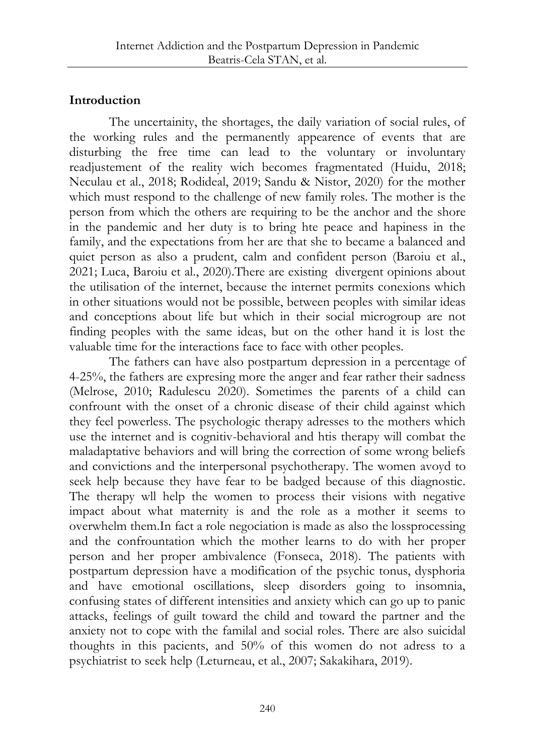# **Introduction**

The uncertainity, the shortages, the daily variation of social rules, of the working rules and the permanently appearence of events that are disturbing the free time can lead to the voluntary or involuntary readjustement of the reality wich becomes fragmentated (Huidu, 2018; Neculau et al., 2018; Rodideal, 2019; Sandu & Nistor, 2020) for the mother which must respond to the challenge of new family roles. The mother is the person from which the others are requiring to be the anchor and the shore in the pandemic and her duty is to bring hte peace and hapiness in the family, and the expectations from her are that she to became a balanced and quiet person as also a prudent, calm and confident person (Baroiu et al., 2021; Luca, Baroiu et al., 2020).There are existing divergent opinions about the utilisation of the internet, because the internet permits conexions which in other situations would not be possible, between peoples with similar ideas and conceptions about life but which in their social microgroup are not finding peoples with the same ideas, but on the other hand it is lost the valuable time for the interactions face to face with other peoples.

The fathers can have also postpartum depression in a percentage of 4-25%, the fathers are expresing more the anger and fear rather their sadness (Melrose, 2010; Radulescu 2020). Sometimes the parents of a child can confrount with the onset of a chronic disease of their child against which they feel powerless. The psychologic therapy adresses to the mothers which use the internet and is cognitiv-behavioral and htis therapy will combat the maladaptative behaviors and will bring the correction of some wrong beliefs and convictions and the interpersonal psychotherapy. The women avoyd to seek help because they have fear to be badged because of this diagnostic. The therapy wll help the women to process their visions with negative impact about what maternity is and the role as a mother it seems to overwhelm them.In fact a role negociation is made as also the lossprocessing and the confrountation which the mother learns to do with her proper person and her proper ambivalence (Fonseca, 2018). The patients with postpartum depression have a modification of the psychic tonus, dysphoria and have emotional oscillations, sleep disorders going to insomnia, confusing states of different intensities and anxiety which can go up to panic attacks, feelings of guilt toward the child and toward the partner and the anxiety not to cope with the familal and social roles. There are also suicidal thoughts in this pacients, and 50% of this women do not adress to a psychiatrist to seek help (Leturneau, et al., 2007; Sakakihara, 2019).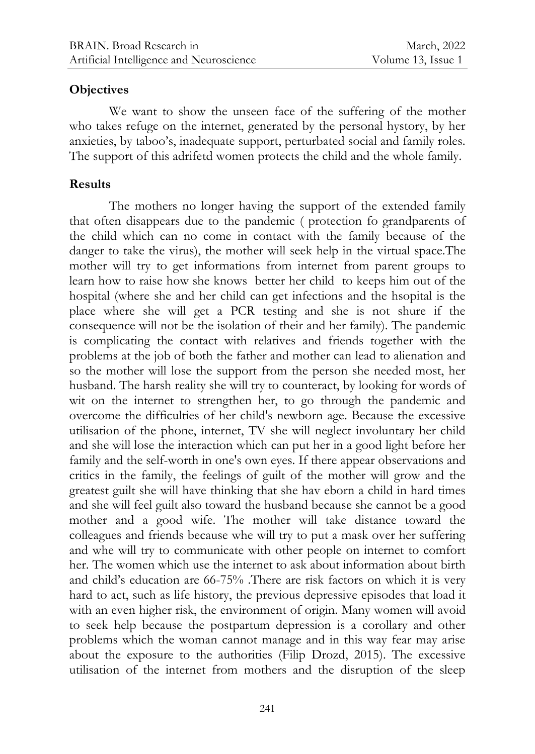#### **Objectives**

We want to show the unseen face of the suffering of the mother who takes refuge on the internet, generated by the personal hystory, by her anxieties, by taboo's, inadequate support, perturbated social and family roles. The support of this adrifetd women protects the child and the whole family.

# **Results**

The mothers no longer having the support of the extended family that often disappears due to the pandemic ( protection fo grandparents of the child which can no come in contact with the family because of the danger to take the virus), the mother will seek help in the virtual space.The mother will try to get informations from internet from parent groups to learn how to raise how she knows better her child to keeps him out of the hospital (where she and her child can get infections and the hsopital is the place where she will get a PCR testing and she is not shure if the consequence will not be the isolation of their and her family). The pandemic is complicating the contact with relatives and friends together with the problems at the job of both the father and mother can lead to alienation and so the mother will lose the support from the person she needed most, her husband. The harsh reality she will try to counteract, by looking for words of wit on the internet to strengthen her, to go through the pandemic and overcome the difficulties of her child's newborn age. Because the excessive utilisation of the phone, internet, TV she will neglect involuntary her child and she will lose the interaction which can put her in a good light before her family and the self-worth in one's own eyes. If there appear observations and critics in the family, the feelings of guilt of the mother will grow and the greatest guilt she will have thinking that she hav eborn a child in hard times and she will feel guilt also toward the husband because she cannot be a good mother and a good wife. The mother will take distance toward the colleagues and friends because whe will try to put a mask over her suffering and whe will try to communicate with other people on internet to comfort her. The women which use the internet to ask about information about birth and child's education are 66-75% .There are risk factors on which it is very hard to act, such as life history, the previous depressive episodes that load it with an even higher risk, the environment of origin. Many women will avoid to seek help because the postpartum depression is a corollary and other problems which the woman cannot manage and in this way fear may arise about the exposure to the authorities (Filip Drozd, 2015). The excessive utilisation of the internet from mothers and the disruption of the sleep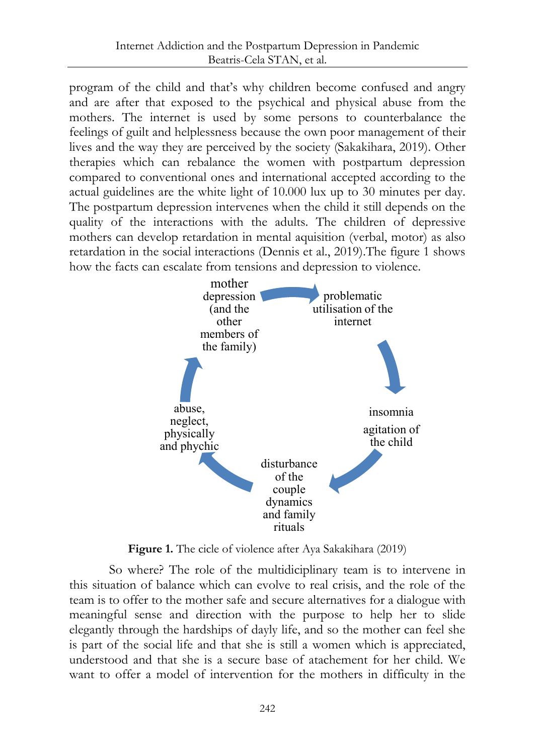program of the child and that's why children become confused and angry and are after that exposed to the psychical and physical abuse from the mothers. The internet is used by some persons to counterbalance the feelings of guilt and helplessness because the own poor management of their lives and the way they are perceived by the society (Sakakihara, 2019). Other therapies which can rebalance the women with postpartum depression compared to conventional ones and international accepted according to the actual guidelines are the white light of 10.000 lux up to 30 minutes per day. The postpartum depression intervenes when the child it still depends on the quality of the interactions with the adults. The children of depressive mothers can develop retardation in mental aquisition (verbal, motor) as also retardation in the social interactions (Dennis et al., 2019).The figure 1 shows how the facts can escalate from tensions and depression to violence.



**Figure 1.** The cicle of violence after Aya Sakakihara (2019)

So where? The role of the multidiciplinary team is to intervene in this situation of balance which can evolve to real crisis, and the role of the team is to offer to the mother safe and secure alternatives for a dialogue with meaningful sense and direction with the purpose to help her to slide elegantly through the hardships of dayly life, and so the mother can feel she is part of the social life and that she is still a women which is appreciated, understood and that she is a secure base of atachement for her child. We want to offer a model of intervention for the mothers in difficulty in the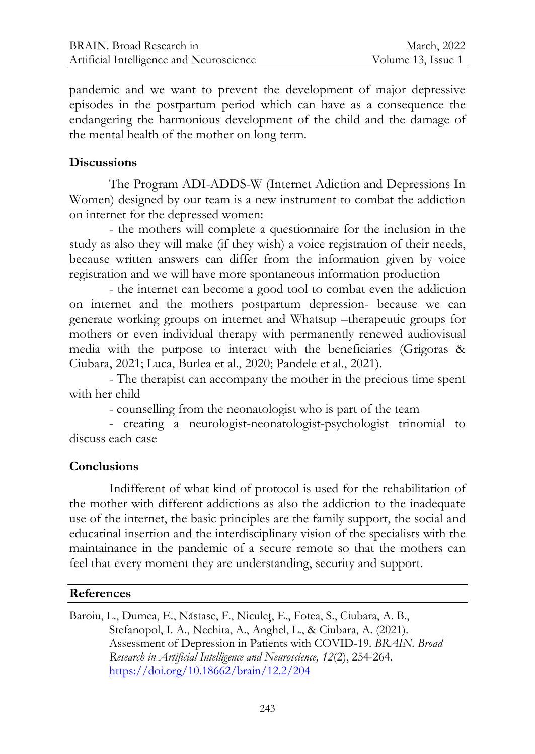pandemic and we want to prevent the development of major depressive episodes in the postpartum period which can have as a consequence the endangering the harmonious development of the child and the damage of the mental health of the mother on long term.

### **Discussions**

The Program ADI-ADDS-W (Internet Adiction and Depressions In Women) designed by our team is a new instrument to combat the addiction on internet for the depressed women:

- the mothers will complete a questionnaire for the inclusion in the study as also they will make (if they wish) a voice registration of their needs, because written answers can differ from the information given by voice registration and we will have more spontaneous information production

- the internet can become a good tool to combat even the addiction on internet and the mothers postpartum depression- because we can generate working groups on internet and Whatsup –therapeutic groups for mothers or even individual therapy with permanently renewed audiovisual media with the purpose to interact with the beneficiaries (Grigoras & Ciubara, 2021; Luca, Burlea et al., 2020; Pandele et al., 2021).

- The therapist can accompany the mother in the precious time spent with her child

- counselling from the neonatologist who is part of the team

- creating a neurologist-neonatologist-psychologist trinomial to discuss each case

# **Conclusions**

Indifferent of what kind of protocol is used for the rehabilitation of the mother with different addictions as also the addiction to the inadequate use of the internet, the basic principles are the family support, the social and educatinal insertion and the interdisciplinary vision of the specialists with the maintainance in the pandemic of a secure remote so that the mothers can feel that every moment they are understanding, security and support.

#### **References**

Baroiu, L., Dumea, E., Năstase, F., Niculeţ, E., Fotea, S., Ciubara, A. B., Stefanopol, I. A., Nechita, A., Anghel, L., & Ciubara, A. (2021). Assessment of Depression in Patients with COVID-19. *BRAIN. Broad Research in Artificial Intelligence and Neuroscience, 12*(2), 254-264. <https://doi.org/10.18662/brain/12.2/204>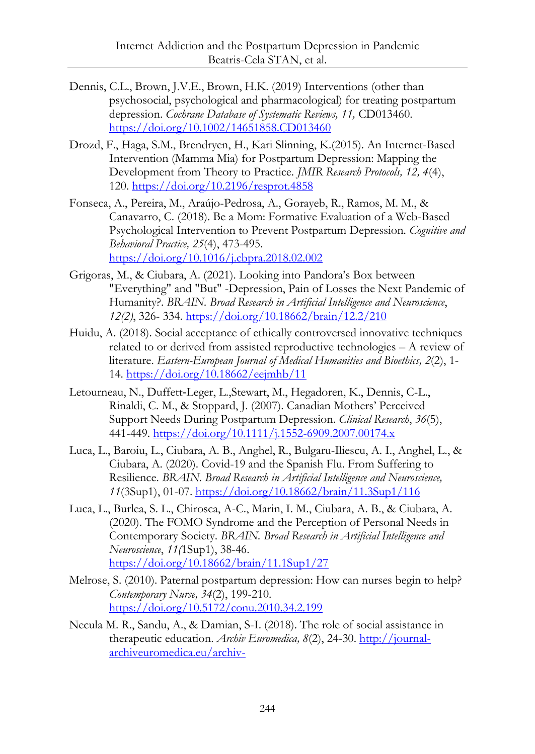- Dennis, C.L., Brown, J.V.E., Brown, H.K. (2019) Interventions (other than psychosocial, psychological and pharmacological) for treating postpartum depression. *Cochrane Database of Systematic Reviews, 11,* CD013460. <https://doi.org/10.1002/14651858.CD013460>
- Drozd, F., Haga, S.M., Brendryen, H., Kari Slinning, K.(2015). An Internet-Based Intervention (Mamma Mia) for Postpartum Depression: Mapping the Development from Theory to Practice. *JMIR Research Protocols, 12, 4*(4), 120. <https://doi.org/10.2196/resprot.4858>
- Fonseca, A., Pereira, M., Araújo-Pedrosa, A., Gorayeb, R., Ramos, M. M., & Canavarro, C. (2018). Be a Mom: Formative Evaluation of a Web-Based Psychological Intervention to Prevent Postpartum Depression. *Cognitive and Behavioral Practice, 25*(4), 473-495. <https://doi.org/10.1016/j.cbpra.2018.02.002>
- Grigoras, M., & Ciubara, A. (2021). Looking into Pandora's Box between "Everything" and "But" -Depression, Pain of Losses the Next Pandemic of Humanity?. *BRAIN. Broad Research in Artificial Intelligence and Neuroscience*, *12(2)*, 326- 334.<https://doi.org/10.18662/brain/12.2/210>
- Huidu, A. (2018). Social acceptance of ethically controversed innovative techniques related to or derived from assisted reproductive technologies – A review of literature. *Eastern-European Journal of Medical Humanities and Bioethics, 2*(2), 1- 14.<https://doi.org/10.18662/eejmhb/11>
- Letourneau, N., Duffett‐Leger, L.,Stewart, M., Hegadoren, K., Dennis, C-L., Rinaldi, C. M., & Stoppard, J. (2007). Canadian Mothers' Perceived Support Needs During Postpartum Depression. *Clinical Research*, *36*(5), 441-449.<https://doi.org/10.1111/j.1552-6909.2007.00174.x>
- Luca, L., Baroiu, L., Ciubara, A. B., Anghel, R., Bulgaru-Iliescu, A. I., Anghel, L., & Ciubara, A. (2020). Covid-19 and the Spanish Flu. From Suffering to Resilience. *BRAIN. Broad Research in Artificial Intelligence and Neuroscience, 11*(3Sup1), 01-07.<https://doi.org/10.18662/brain/11.3Sup1/116>
- Luca, L., Burlea, S. L., Chirosca, A-C., Marin, I. M., Ciubara, A. B., & Ciubara, A. (2020). The FOMO Syndrome and the Perception of Personal Needs in Contemporary Society. *BRAIN. Broad Research in Artificial Intelligence and Neuroscience*, *11(*1Sup1), 38-46. <https://doi.org/10.18662/brain/11.1Sup1/27>
- Melrose, S. (2010). Paternal postpartum depression: How can nurses begin to help? *Contemporary Nurse, 34*(2), 199-210. <https://doi.org/10.5172/conu.2010.34.2.199>
- Necula M. R., Sandu, A., & Damian, S-I. (2018). The role of social assistance in therapeutic education. *Archiv Euromedica, 8*(2), 24-30[. http://journal](http://journal-archiveuromedica.eu/archiv-euromedica_02_2018/PAGES_archiv_euromedica_02_2018_maket_27_12_2018-24_30.pdf)[archiveuromedica.eu/archiv-](http://journal-archiveuromedica.eu/archiv-euromedica_02_2018/PAGES_archiv_euromedica_02_2018_maket_27_12_2018-24_30.pdf)